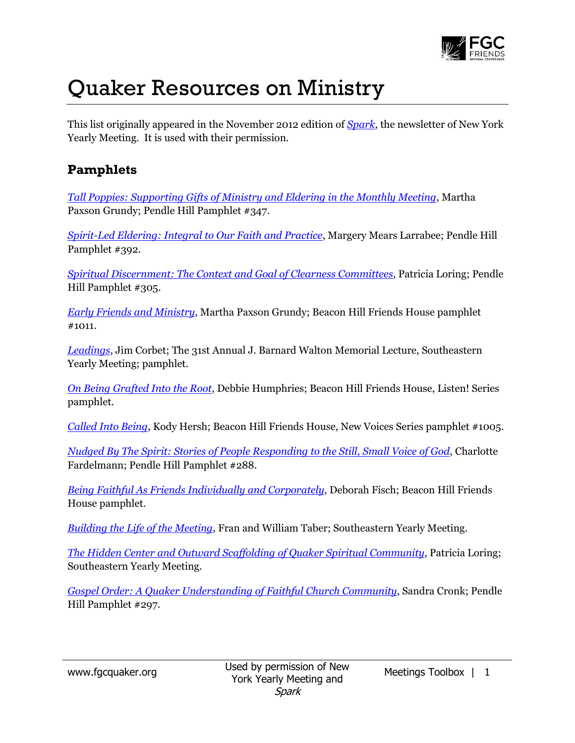

# Quaker Resources on Ministry

This list originally appeared in the November 2012 edition of *[Spark](http://www.nyym.org/?q=Spark_November_2012#resources)*, the newsletter of New York Yearly Meeting. It is used with their permission.

# **Pamphlets**

*[Tall Poppies: Supporting Gifts of Ministry and Eldering in the Monthly Meeting](http://www.quakerbooks.org/tall_poppies.php)*, Martha Paxson Grundy; Pendle Hill Pamphlet #347.

*[Spirit-Led Eldering: Integral to Our Faith and Practice](http://www.quakerbooks.org/spiritled_eldering.php)*, Margery Mears Larrabee; Pendle Hill Pamphlet #392.

*[Spiritual Discernment: The Context and Goal of Clearness Committees](http://www.quakerbooks.org/spiritual_discernment.php)*, Patricia Loring; Pendle Hill Pamphlet #305.

*[Early Friends and](http://www.quakerbooks.org/early_friends_and_ministry.php) Ministry*, Martha Paxson Grundy; Beacon Hill Friends House pamphlet #1011.

*[Leadings](http://www.quakerbooks.org/leadings.php)*, Jim Corbet; The 31st Annual J. Barnard Walton Memorial Lecture, Southeastern Yearly Meeting; pamphlet.

*[On Being Grafted Into the Root](http://www.quakerbooks.org/on_being_grafted_into_the_root.php)*, Debbie Humphries; Beacon Hill Friends House, Listen! Series pamphlet.

*[Called Into Being](http://www.quakerbooks.org/called_into_being.php)*, Kody Hersh; Beacon Hill Friends House, New Voices Series pamphlet #1005.

*[Nudged By The Spirit: Stories of People Responding to the Still, Small Voice of God](http://www.quakerbooks.org/nudged_by_the_spirit.php)*, Charlotte Fardelmann; Pendle Hill Pamphlet #288.

*[Being Faithful As Friends Individually and Corporately](http://www.quakerbooks.org/being_faithful_as_friends.php)*, Deborah Fisch; Beacon Hill Friends House pamphlet.

*[Building the Life of the Meeting](http://www.quakerbooks.org/building_the_life_of_the_meeting.php)*, Fran and William Taber; Southeastern Yearly Meeting.

*[The Hidden Center and Outward Scaffolding of Quaker Spiritual Community](http://www.seym.org/pubs.html)*, Patricia Loring; Southeastern Yearly Meeting.

*[Gospel Order: A Quaker Understanding of Faithful Church Community](http://www.quakerbooks.org/gospel_order.php)*, Sandra Cronk; Pendle Hill Pamphlet #297.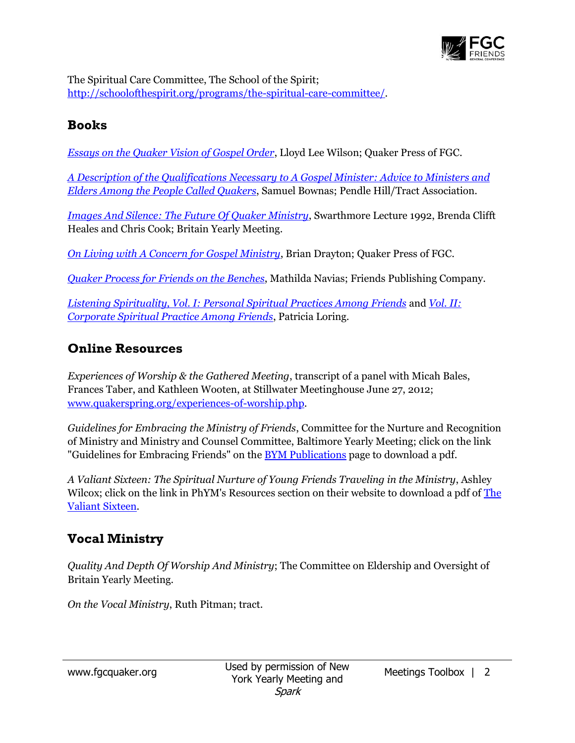

The Spiritual Care Committee, The School of the Spirit; [http://schoolofthespirit.org/programs/the-spiritual-care-committee/.](http://schoolofthespirit.org/programs/the-spiritual-care-committee/)

#### **Books**

*[Essays on the Quaker Vision of Gospel Order](http://www.quakerbooks.org/essays_on_the_quaker_vision_of_gospel_order.php)*, Lloyd Lee Wilson; Quaker Press of FGC.

*[A Description of the Qualifications Necessary to A Gospel Minister: Advice to Ministers and](http://www.quakerbooks.org/description_of_the_qualifications_necessary.php)  [Elders Among the People Called Quakers](http://www.quakerbooks.org/description_of_the_qualifications_necessary.php)*, Samuel Bownas; Pendle Hill/Tract Association.

*[Images And Silence: The Future Of Quaker Ministry](http://www.quakerbooks.org/images_and_silence.php)*, Swarthmore Lecture 1992, Brenda Clifft Heales and Chris Cook; Britain Yearly Meeting.

*[On Living with A Concern for Gospel Ministry](http://www.quakerbooks.org/on_living_with_a_concern_for_gospel_ministry.php)*, Brian Drayton; Quaker Press of FGC.

*[Quaker Process for Friends on the Benches](http://www.quakerbooks.org/quaker_process_for_friends_on_the_benches.php)*, Mathilda Navias; Friends Publishing Company.

*[Listening Spirituality, Vol. I: Personal Spiritual Practices Among Friends](http://www.quakerbooks.org/listening_spirituality_volume_1.php)* and *[Vol. II:](http://www.quakerbooks.org/listening_spirituality_volume_2.php)  [Corporate Spiritual Practice Among Friends](http://www.quakerbooks.org/listening_spirituality_volume_2.php)*, Patricia Loring.

### **Online Resources**

*Experiences of Worship & the Gathered Meeting*, transcript of a panel with Micah Bales, Frances Taber, and Kathleen Wooten, at Stillwater Meetinghouse June 27, 2012; [www.quakerspring.org/experiences-of-worship.php.](http://www.quakerspring.org/experiences-of-worship.php)

*Guidelines for Embracing the Ministry of Friends*, Committee for the Nurture and Recognition of Ministry and Ministry and Counsel Committee, Baltimore Yearly Meeting; click on the link "Guidelines for Embracing Friends" on th[e BYM Publications](http://www.bym-rsf.org/publications/overview.html) page to download a pdf.

*A Valiant Sixteen: The Spiritual Nurture of Young Friends Traveling in the Ministry*, Ashley Wilcox; click on the link in PhYM's Resources section on their website to download a pdf of [The](http://pym.org/resources/valliant-sixteen-yafs-traveling-ministry)  [Valiant Sixteen.](http://pym.org/resources/valliant-sixteen-yafs-traveling-ministry)

## **Vocal Ministry**

*Quality And Depth Of Worship And Ministry*; The Committee on Eldership and Oversight of Britain Yearly Meeting.

*On the Vocal Ministry*, Ruth Pitman; tract.